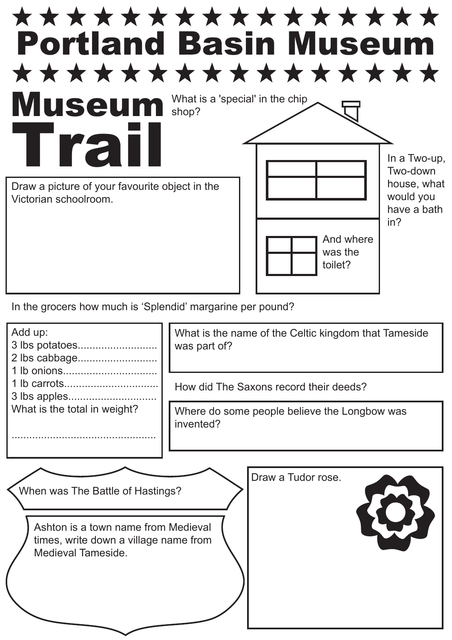

In the grocers how much is 'Splendid' margarine per pound?

| Add up:                                                                                                                                | What is the name of the Celtic kingdom that Tameside<br>was part of?<br>How did The Saxons record their deeds? |
|----------------------------------------------------------------------------------------------------------------------------------------|----------------------------------------------------------------------------------------------------------------|
| What is the total in weight?                                                                                                           | Where do some people believe the Longbow was<br>invented?                                                      |
| When was The Battle of Hastings?<br>Ashton is a town name from Medieval<br>times, write down a village name from<br>Medieval Tameside. | Draw a Tudor rose.                                                                                             |